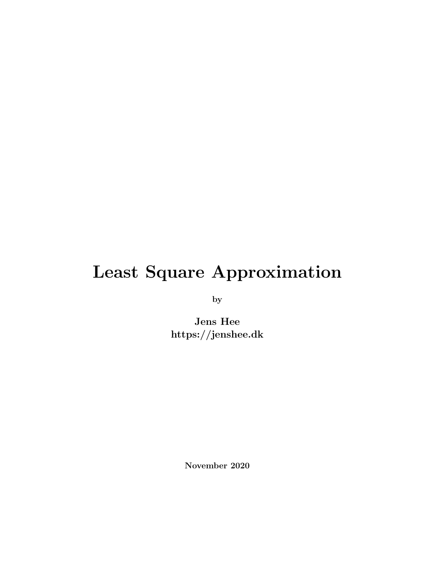## Least Square Approximation

by

Jens Hee https://jenshee.dk

November 2020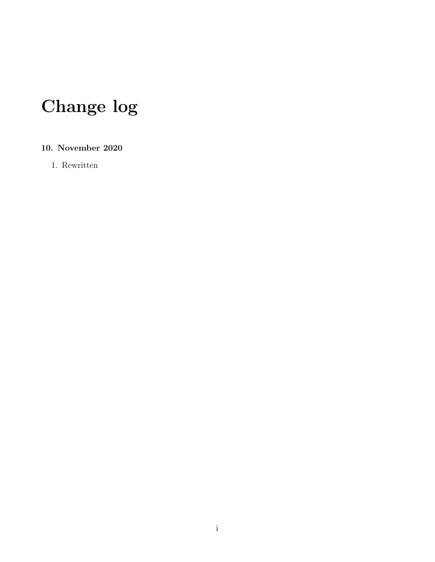# Change log

#### 10. November 2020

1. Rewritten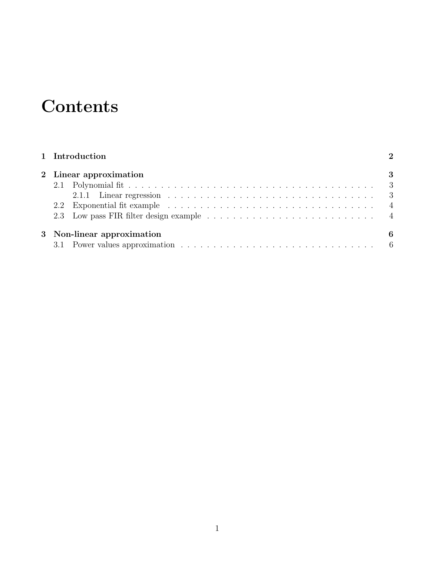## **Contents**

|                                                                                                        | -3 |
|--------------------------------------------------------------------------------------------------------|----|
|                                                                                                        |    |
| 2.1.1 Linear regression $\ldots \ldots \ldots \ldots \ldots \ldots \ldots \ldots \ldots \ldots \ldots$ |    |
|                                                                                                        |    |
|                                                                                                        |    |
|                                                                                                        | 6  |
|                                                                                                        |    |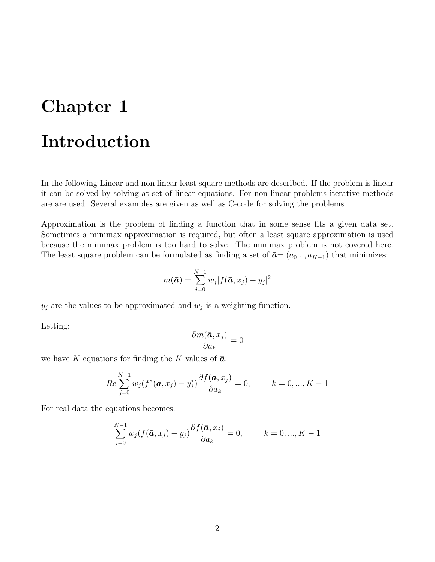### <span id="page-3-0"></span>Chapter 1

### Introduction

In the following Linear and non linear least square methods are described. If the problem is linear it can be solved by solving at set of linear equations. For non-linear problems iterative methods are are used. Several examples are given as well as C-code for solving the problems

Approximation is the problem of finding a function that in some sense fits a given data set. Sometimes a minimax approximation is required, but often a least square approximation is used because the minimax problem is too hard to solve. The minimax problem is not covered here. The least square problem can be formulated as finding a set of  $\bar{a}$ = ( $a_0$ ...,  $a_{K-1}$ ) that minimizes:

$$
m(\bar{\boldsymbol{a}}) = \sum_{j=0}^{N-1} w_j |f(\bar{\boldsymbol{a}}, x_j) - y_j|^2
$$

 $y_j$  are the values to be approximated and  $w_j$  is a weighting function.

Letting:

$$
\frac{\partial m(\bar{\bm{a}}, x_j)}{\partial a_k} = 0
$$

we have K equations for finding the K values of  $\bar{a}$ :

$$
Re\sum_{j=0}^{N-1} w_j (f^*(\bar{a}, x_j) - y_j^*) \frac{\partial f(\bar{a}, x_j)}{\partial a_k} = 0, \qquad k = 0, ..., K-1
$$

For real data the equations becomes:

$$
\sum_{j=0}^{N-1} w_j (f(\bar{a}, x_j) - y_j) \frac{\partial f(\bar{a}, x_j)}{\partial a_k} = 0, \qquad k = 0, ..., K-1
$$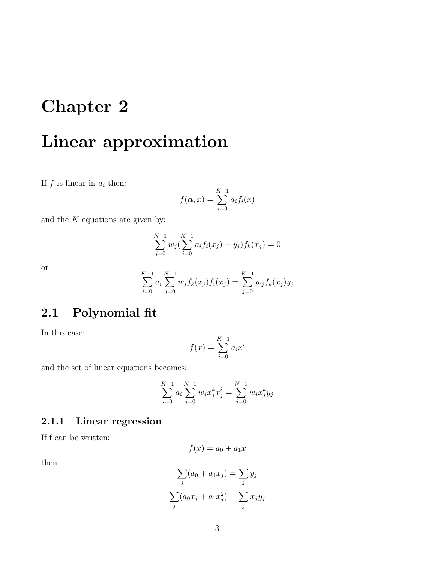## <span id="page-4-0"></span>Chapter 2

## Linear approximation

If  $f$  is linear in  $a_i$  then:

$$
f(\bar{a},x) = \sum_{i=0}^{K-1} a_i f_i(x)
$$

and the  $K$  equations are given by:

$$
\sum_{j=0}^{N-1} w_j \left( \sum_{i=0}^{K-1} a_i f_i(x_j) - y_j \right) f_k(x_j) = 0
$$

or

$$
\sum_{i=0}^{K-1} a_i \sum_{j=0}^{N-1} w_j f_k(x_j) f_i(x_j) = \sum_{j=0}^{K-1} w_j f_k(x_j) y_j
$$

#### <span id="page-4-1"></span>2.1 Polynomial fit

In this case:

$$
f(x) = \sum_{i=0}^{K-1} a_i x^i
$$

and the set of linear equations becomes:

$$
\sum_{i=0}^{K-1} a_i \sum_{j=0}^{N-1} w_j x_j^k x_j^i = \sum_{j=0}^{N-1} w_j x_j^k y_j
$$

#### <span id="page-4-2"></span>2.1.1 Linear regression

If f can be written:

$$
f(x) = a_0 + a_1 x
$$

then

$$
\sum_{j} (a_0 + a_1 x_j) = \sum_{j} y_j
$$

$$
\sum_{j} (a_0 x_j + a_1 x_j^2) = \sum_{j} x_j y_j
$$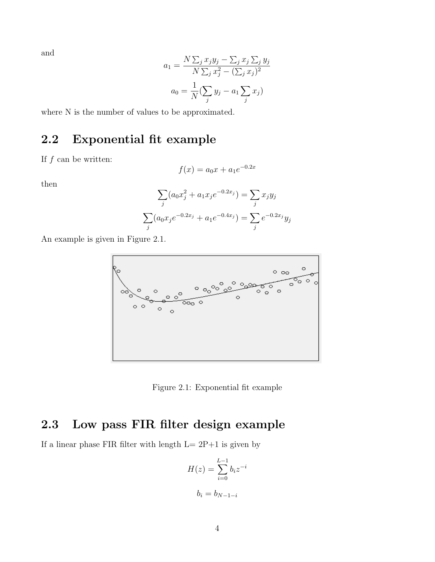and

$$
a_1 = \frac{N \sum_j x_j y_j - \sum_j x_j \sum_j y_j}{N \sum_j x_j^2 - (\sum_j x_j)^2}
$$

$$
a_0 = \frac{1}{N} (\sum_j y_j - a_1 \sum_j x_j)
$$

where N is the number of values to be approximated.

#### <span id="page-5-0"></span>2.2 Exponential fit example

If  $f$  can be written:

$$
f(x) = a_0 x + a_1 e^{-0.2x}
$$

then

$$
\sum_{j} (a_0 x_j^2 + a_1 x_j e^{-0.2x_j}) = \sum_{j} x_j y_j
$$

$$
\sum_{j} (a_0 x_j e^{-0.2x_j} + a_1 e^{-0.4x_j}) = \sum_{j} e^{-0.2x_j} y_j
$$

An example is given in Figure [2.1.](#page-5-2)



Figure 2.1: Exponential fit example

### <span id="page-5-2"></span><span id="page-5-1"></span>2.3 Low pass FIR filter design example

If a linear phase FIR filter with length  $L = 2P+1$  is given by

$$
H(z) = \sum_{i=0}^{L-1} b_i z^{-i}
$$

$$
b_i = b_{N-1-i}
$$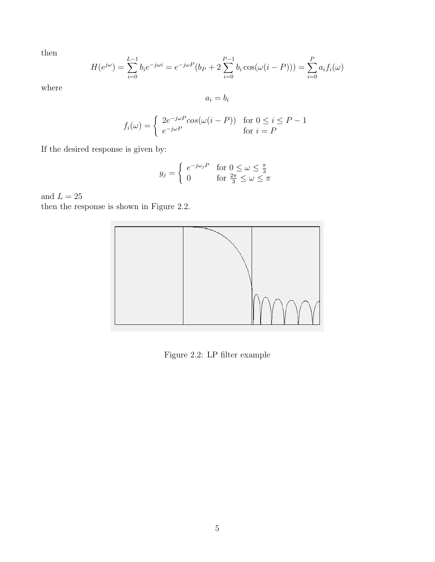then

$$
H(e^{j\omega}) = \sum_{i=0}^{L-1} b_i e^{-j\omega i} = e^{-j\omega P} (b_P + 2 \sum_{i=0}^{P-1} b_i \cos(\omega (i - P))) = \sum_{i=0}^{P} a_i f_i(\omega)
$$

where

 $\ensuremath{a_i} = \ensuremath{b_i}$ 

$$
f_i(\omega) = \begin{cases} 2e^{-j\omega P} \cos(\omega(i - P)) & \text{for } 0 \le i \le P - 1 \\ e^{-j\omega P} & \text{for } i = P \end{cases}
$$

If the desired response is given by:

$$
y_j = \begin{cases} e^{-j\omega_j P} & \text{for } 0 \le \omega \le \frac{\pi}{3} \\ 0 & \text{for } \frac{2\pi}{3} \le \omega \le \pi \end{cases}
$$

and  $L=25\,$ 

then the response is shown in Figure [2.2.](#page-6-0)



<span id="page-6-0"></span>Figure 2.2: LP filter example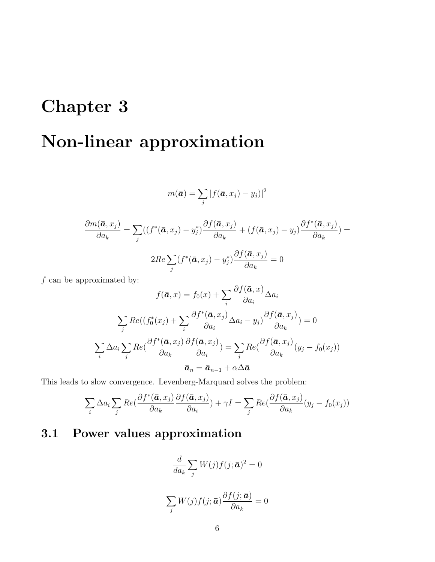## <span id="page-7-0"></span>Chapter 3

# Non-linear approximation

$$
m(\bar{\boldsymbol{a}}) = \sum_j |f(\bar{\boldsymbol{a}}, x_j) - y_j)|^2
$$

$$
\frac{\partial m(\bar{\mathbf{a}}, x_j)}{\partial a_k} = \sum_j ((f^*(\bar{\mathbf{a}}, x_j) - y_j^*) \frac{\partial f(\bar{\mathbf{a}}, x_j)}{\partial a_k} + (f(\bar{\mathbf{a}}, x_j) - y_j) \frac{\partial f^*(\bar{\mathbf{a}}, x_j)}{\partial a_k}) =
$$

$$
2Re \sum_j (f^*(\bar{\mathbf{a}}, x_j) - y_j^*) \frac{\partial f(\bar{\mathbf{a}}, x_j)}{\partial a_k} = 0
$$

 $f$  can be approximated by:

$$
f(\bar{a}, x) = f_0(x) + \sum_i \frac{\partial f(\bar{a}, x)}{\partial a_i} \Delta a_i
$$

$$
\sum_j Re((f_0^*(x_j) + \sum_i \frac{\partial f^*(\bar{a}, x_j)}{\partial a_i} \Delta a_i - y_j) \frac{\partial f(\bar{a}, x_j)}{\partial a_k}) = 0
$$

$$
\sum_i \Delta a_i \sum_j Re(\frac{\partial f^*(\bar{a}, x_j)}{\partial a_k} \frac{\partial f(\bar{a}, x_j)}{\partial a_i}) = \sum_j Re(\frac{\partial f(\bar{a}, x_j)}{\partial a_k} (y_j - f_0(x_j))
$$

$$
\bar{a}_n = \bar{a}_{n-1} + \alpha \Delta \bar{a}
$$

This leads to slow convergence. Levenberg-Marquard solves the problem:

$$
\sum_{i} \Delta a_{i} \sum_{j} Re(\frac{\partial f^{*}(\bar{\boldsymbol{a}}, x_{j})}{\partial a_{k}} \frac{\partial f(\bar{\boldsymbol{a}}, x_{j})}{\partial a_{i}}) + \gamma I = \sum_{j} Re(\frac{\partial f(\bar{\boldsymbol{a}}, x_{j})}{\partial a_{k}} (y_{j} - f_{0}(x_{j}))
$$

### <span id="page-7-1"></span>3.1 Power values approximation

$$
\frac{d}{da_k} \sum_j W(j) f(j; \bar{a})^2 = 0
$$

$$
\sum_{j} W(j) f(j; \bar{a}) \frac{\partial f(j; \bar{a})}{\partial a_k} = 0
$$